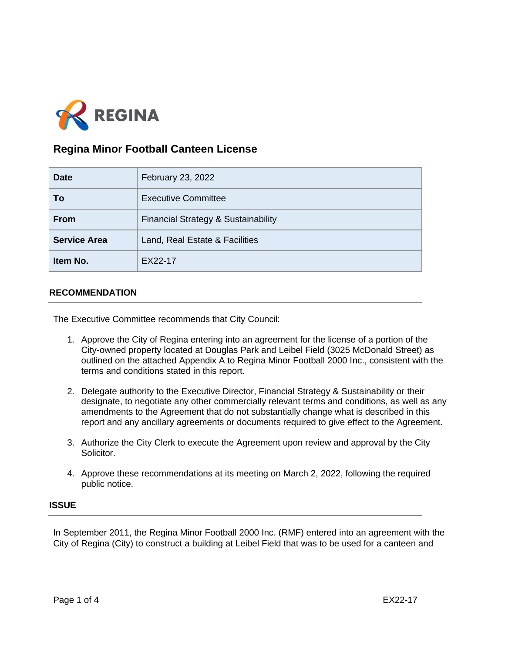

# **Regina Minor Football Canteen License**

| <b>Date</b>         | February 23, 2022                   |
|---------------------|-------------------------------------|
| To                  | <b>Executive Committee</b>          |
| <b>From</b>         | Financial Strategy & Sustainability |
| <b>Service Area</b> | Land, Real Estate & Facilities      |
| Item No.            | EX22-17                             |

## **RECOMMENDATION**

The Executive Committee recommends that City Council:

- 1. Approve the City of Regina entering into an agreement for the license of a portion of the City-owned property located at Douglas Park and Leibel Field (3025 McDonald Street) as outlined on the attached Appendix A to Regina Minor Football 2000 Inc., consistent with the terms and conditions stated in this report.
- 2. Delegate authority to the Executive Director, Financial Strategy & Sustainability or their designate, to negotiate any other commercially relevant terms and conditions, as well as any amendments to the Agreement that do not substantially change what is described in this report and any ancillary agreements or documents required to give effect to the Agreement.
- 3. Authorize the City Clerk to execute the Agreement upon review and approval by the City Solicitor.
- 4. Approve these recommendations at its meeting on March 2, 2022, following the required public notice.

#### **ISSUE**

In September 2011, the Regina Minor Football 2000 Inc. (RMF) entered into an agreement with the City of Regina (City) to construct a building at Leibel Field that was to be used for a canteen and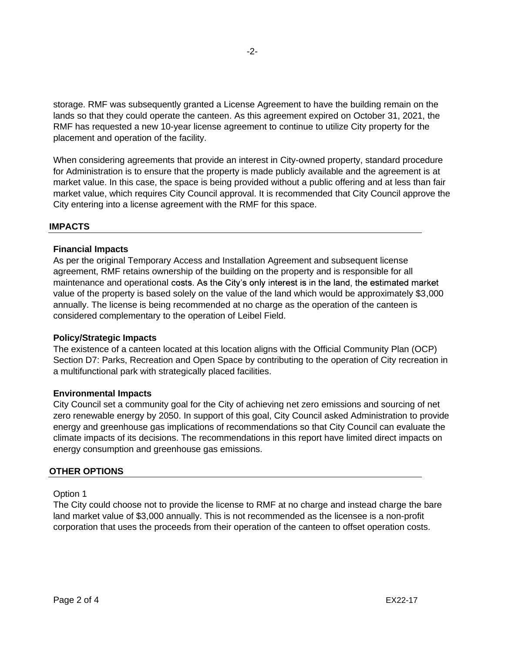storage. RMF was subsequently granted a License Agreement to have the building remain on the lands so that they could operate the canteen. As this agreement expired on October 31, 2021, the RMF has requested a new 10-year license agreement to continue to utilize City property for the placement and operation of the facility.

When considering agreements that provide an interest in City-owned property, standard procedure for Administration is to ensure that the property is made publicly available and the agreement is at market value. In this case, the space is being provided without a public offering and at less than fair market value, which requires City Council approval. It is recommended that City Council approve the City entering into a license agreement with the RMF for this space.

#### **IMPACTS**

#### **Financial Impacts**

As per the original Temporary Access and Installation Agreement and subsequent license agreement, RMF retains ownership of the building on the property and is responsible for all maintenance and operational costs. As the City's only interest is in the land, the estimated market value of the property is based solely on the value of the land which would be approximately \$3,000 annually. The license is being recommended at no charge as the operation of the canteen is considered complementary to the operation of Leibel Field.

#### **Policy/Strategic Impacts**

The existence of a canteen located at this location aligns with the Official Community Plan (OCP) Section D7: Parks, Recreation and Open Space by contributing to the operation of City recreation in a multifunctional park with strategically placed facilities.

#### **Environmental Impacts**

City Council set a community goal for the City of achieving net zero emissions and sourcing of net zero renewable energy by 2050. In support of this goal, City Council asked Administration to provide energy and greenhouse gas implications of recommendations so that City Council can evaluate the climate impacts of its decisions. The recommendations in this report have limited direct impacts on energy consumption and greenhouse gas emissions.

## **OTHER OPTIONS**

Option 1

The City could choose not to provide the license to RMF at no charge and instead charge the bare land market value of \$3,000 annually. This is not recommended as the licensee is a non-profit corporation that uses the proceeds from their operation of the canteen to offset operation costs.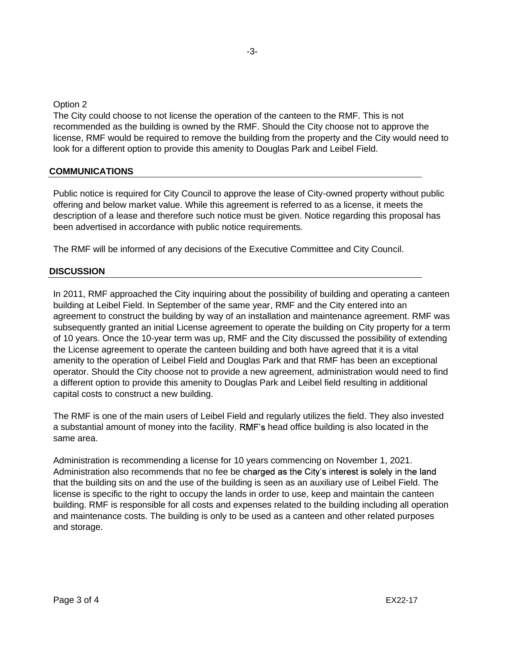-3-

Option 2

The City could choose to not license the operation of the canteen to the RMF. This is not recommended as the building is owned by the RMF. Should the City choose not to approve the license, RMF would be required to remove the building from the property and the City would need to look for a different option to provide this amenity to Douglas Park and Leibel Field.

## **COMMUNICATIONS**

Public notice is required for City Council to approve the lease of City-owned property without public offering and below market value. While this agreement is referred to as a license, it meets the description of a lease and therefore such notice must be given. Notice regarding this proposal has been advertised in accordance with public notice requirements.

The RMF will be informed of any decisions of the Executive Committee and City Council.

#### **DISCUSSION**

In 2011, RMF approached the City inquiring about the possibility of building and operating a canteen building at Leibel Field. In September of the same year, RMF and the City entered into an agreement to construct the building by way of an installation and maintenance agreement. RMF was subsequently granted an initial License agreement to operate the building on City property for a term of 10 years. Once the 10-year term was up, RMF and the City discussed the possibility of extending the License agreement to operate the canteen building and both have agreed that it is a vital amenity to the operation of Leibel Field and Douglas Park and that RMF has been an exceptional operator. Should the City choose not to provide a new agreement, administration would need to find a different option to provide this amenity to Douglas Park and Leibel field resulting in additional capital costs to construct a new building.

The RMF is one of the main users of Leibel Field and regularly utilizes the field. They also invested a substantial amount of money into the facility. RMF's head office building is also located in the same area.

Administration is recommending a license for 10 years commencing on November 1, 2021. Administration also recommends that no fee be charged as the City's interest is solely in the land that the building sits on and the use of the building is seen as an auxiliary use of Leibel Field. The license is specific to the right to occupy the lands in order to use, keep and maintain the canteen building. RMF is responsible for all costs and expenses related to the building including all operation and maintenance costs. The building is only to be used as a canteen and other related purposes and storage.